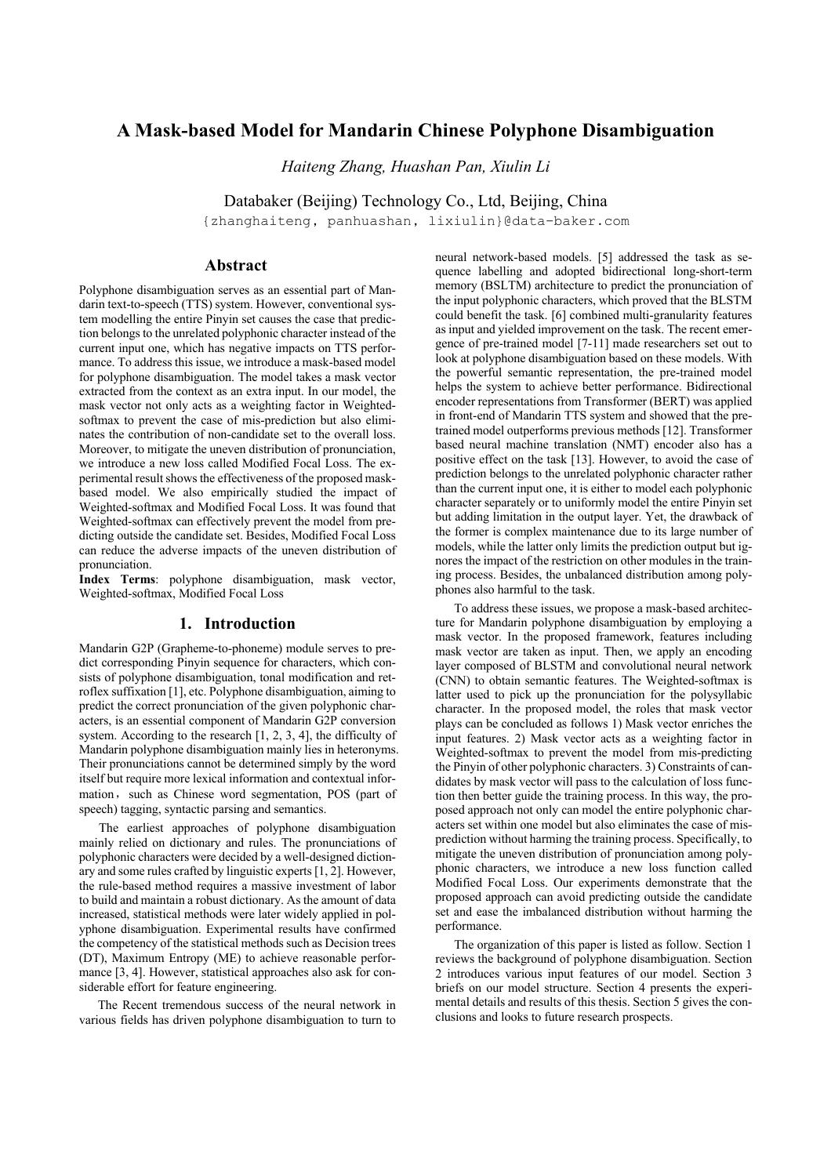# **A Mask-based Model for Mandarin Chinese Polyphone Disambiguation**

*Haiteng Zhang, Huashan Pan, Xiulin Li* 

Databaker (Beijing) Technology Co., Ltd, Beijing, China

{zhanghaiteng, panhuashan, lixiulin}@data-baker.com

# **Abstract**

Polyphone disambiguation serves as an essential part of Mandarin text-to-speech (TTS) system. However, conventional system modelling the entire Pinyin set causes the case that prediction belongs to the unrelated polyphonic character instead of the current input one, which has negative impacts on TTS performance. To address this issue, we introduce a mask-based model for polyphone disambiguation. The model takes a mask vector extracted from the context as an extra input. In our model, the mask vector not only acts as a weighting factor in Weightedsoftmax to prevent the case of mis-prediction but also eliminates the contribution of non-candidate set to the overall loss. Moreover, to mitigate the uneven distribution of pronunciation, we introduce a new loss called Modified Focal Loss. The experimental result shows the effectiveness of the proposed maskbased model. We also empirically studied the impact of Weighted-softmax and Modified Focal Loss. It was found that Weighted-softmax can effectively prevent the model from predicting outside the candidate set. Besides, Modified Focal Loss can reduce the adverse impacts of the uneven distribution of pronunciation.

**Index Terms**: polyphone disambiguation, mask vector, Weighted-softmax, Modified Focal Loss

## **1. Introduction**

Mandarin G2P (Grapheme-to-phoneme) module serves to predict corresponding Pinyin sequence for characters, which consists of polyphone disambiguation, tonal modification and retroflex suffixation [1], etc. Polyphone disambiguation, aiming to predict the correct pronunciation of the given polyphonic characters, is an essential component of Mandarin G2P conversion system. According to the research [1, 2, 3, 4], the difficulty of Mandarin polyphone disambiguation mainly lies in heteronyms. Their pronunciations cannot be determined simply by the word itself but require more lexical information and contextual information, such as Chinese word segmentation, POS (part of speech) tagging, syntactic parsing and semantics.

The earliest approaches of polyphone disambiguation mainly relied on dictionary and rules. The pronunciations of polyphonic characters were decided by a well-designed dictionary and some rules crafted by linguistic experts [1, 2]. However, the rule-based method requires a massive investment of labor to build and maintain a robust dictionary. As the amount of data increased, statistical methods were later widely applied in polyphone disambiguation. Experimental results have confirmed the competency of the statistical methods such as Decision trees (DT), Maximum Entropy (ME) to achieve reasonable performance [3, 4]. However, statistical approaches also ask for considerable effort for feature engineering.

The Recent tremendous success of the neural network in various fields has driven polyphone disambiguation to turn to neural network-based models. [5] addressed the task as sequence labelling and adopted bidirectional long-short-term memory (BSLTM) architecture to predict the pronunciation of the input polyphonic characters, which proved that the BLSTM could benefit the task. [6] combined multi-granularity features as input and yielded improvement on the task. The recent emergence of pre-trained model [7-11] made researchers set out to look at polyphone disambiguation based on these models. With the powerful semantic representation, the pre-trained model helps the system to achieve better performance. Bidirectional encoder representations from Transformer (BERT) was applied in front-end of Mandarin TTS system and showed that the pretrained model outperforms previous methods [12]. Transformer based neural machine translation (NMT) encoder also has a positive effect on the task [13]. However, to avoid the case of prediction belongs to the unrelated polyphonic character rather than the current input one, it is either to model each polyphonic character separately or to uniformly model the entire Pinyin set but adding limitation in the output layer. Yet, the drawback of the former is complex maintenance due to its large number of models, while the latter only limits the prediction output but ignores the impact of the restriction on other modules in the training process. Besides, the unbalanced distribution among polyphones also harmful to the task.

To address these issues, we propose a mask-based architecture for Mandarin polyphone disambiguation by employing a mask vector. In the proposed framework, features including mask vector are taken as input. Then, we apply an encoding layer composed of BLSTM and convolutional neural network (CNN) to obtain semantic features. The Weighted-softmax is latter used to pick up the pronunciation for the polysyllabic character. In the proposed model, the roles that mask vector plays can be concluded as follows 1) Mask vector enriches the input features. 2) Mask vector acts as a weighting factor in Weighted-softmax to prevent the model from mis-predicting the Pinyin of other polyphonic characters. 3) Constraints of candidates by mask vector will pass to the calculation of loss function then better guide the training process. In this way, the proposed approach not only can model the entire polyphonic characters set within one model but also eliminates the case of misprediction without harming the training process. Specifically, to mitigate the uneven distribution of pronunciation among polyphonic characters, we introduce a new loss function called Modified Focal Loss. Our experiments demonstrate that the proposed approach can avoid predicting outside the candidate set and ease the imbalanced distribution without harming the performance.

The organization of this paper is listed as follow. Section 1 reviews the background of polyphone disambiguation. Section 2 introduces various input features of our model. Section 3 briefs on our model structure. Section 4 presents the experimental details and results of this thesis. Section 5 gives the conclusions and looks to future research prospects.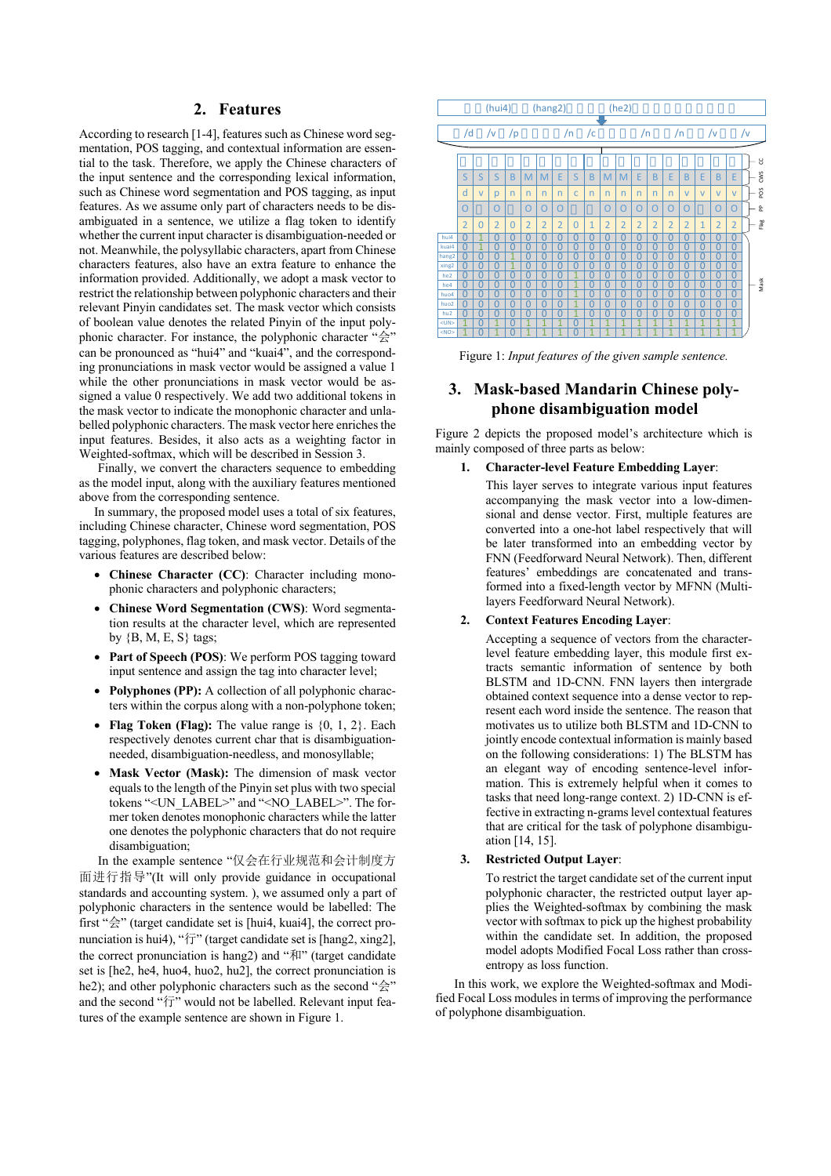# **2. Features**

According to research [1-4], features such as Chinese word segmentation, POS tagging, and contextual information are essential to the task. Therefore, we apply the Chinese characters of the input sentence and the corresponding lexical information, such as Chinese word segmentation and POS tagging, as input features. As we assume only part of characters needs to be disambiguated in a sentence, we utilize a flag token to identify whether the current input character is disambiguation-needed or not. Meanwhile, the polysyllabic characters, apart from Chinese characters features, also have an extra feature to enhance the information provided. Additionally, we adopt a mask vector to restrict the relationship between polyphonic characters and their relevant Pinyin candidates set. The mask vector which consists of boolean value denotes the related Pinyin of the input polyphonic character. For instance, the polyphonic character "会" can be pronounced as "hui4" and "kuai4", and the corresponding pronunciations in mask vector would be assigned a value 1 while the other pronunciations in mask vector would be assigned a value 0 respectively. We add two additional tokens in the mask vector to indicate the monophonic character and unlabelled polyphonic characters. The mask vector here enriches the input features. Besides, it also acts as a weighting factor in Weighted-softmax, which will be described in Session 3.

Finally, we convert the characters sequence to embedding as the model input, along with the auxiliary features mentioned above from the corresponding sentence.

In summary, the proposed model uses a total of six features, including Chinese character, Chinese word segmentation, POS tagging, polyphones, flag token, and mask vector. Details of the various features are described below:

- **Chinese Character (CC)**: Character including monophonic characters and polyphonic characters;
- **Chinese Word Segmentation (CWS)**: Word segmentation results at the character level, which are represented by  ${B, M, E, S}$  tags;
- Part of Speech (POS): We perform POS tagging toward input sentence and assign the tag into character level;
- **Polyphones (PP):** A collection of all polyphonic characters within the corpus along with a non-polyphone token;
- **Flag Token (Flag):** The value range is {0, 1, 2}. Each respectively denotes current char that is disambiguationneeded, disambiguation-needless, and monosyllable;
- **Mask Vector (Mask):** The dimension of mask vector equals to the length of the Pinyin set plus with two special tokens "<UN\_LABEL>" and "<NO\_LABEL>". The former token denotes monophonic characters while the latter one denotes the polyphonic characters that do not require disambiguation;

In the example sentence "仅会在行业规范和会计制度方 面进行指导"(It will only provide guidance in occupational standards and accounting system. ), we assumed only a part of polyphonic characters in the sentence would be labelled: The first "会" (target candidate set is [hui4, kuai4], the correct pronunciation is hui4), "行" (target candidate set is [hang2, xing2], the correct pronunciation is hang2) and "和" (target candidate set is [he2, he4, huo4, huo2, hu2], the correct pronunciation is he2); and other polyphonic characters such as the second "会" and the second "行" would not be labelled. Relevant input features of the example sentence are shown in Figure 1.



Figure 1: *Input features of the given sample sentence.*

# **3. Mask-based Mandarin Chinese polyphone disambiguation model**

Figure 2 depicts the proposed model's architecture which is mainly composed of three parts as below:

### **1. Character-level Feature Embedding Layer**:

This layer serves to integrate various input features accompanying the mask vector into a low-dimensional and dense vector. First, multiple features are converted into a one-hot label respectively that will be later transformed into an embedding vector by FNN (Feedforward Neural Network). Then, different features' embeddings are concatenated and transformed into a fixed-length vector by MFNN (Multilayers Feedforward Neural Network).

### **2. Context Features Encoding Layer**:

Accepting a sequence of vectors from the characterlevel feature embedding layer, this module first extracts semantic information of sentence by both BLSTM and 1D-CNN. FNN layers then intergrade obtained context sequence into a dense vector to represent each word inside the sentence. The reason that motivates us to utilize both BLSTM and 1D-CNN to jointly encode contextual information is mainly based on the following considerations: 1) The BLSTM has an elegant way of encoding sentence-level information. This is extremely helpful when it comes to tasks that need long-range context. 2) 1D-CNN is effective in extracting n-grams level contextual features that are critical for the task of polyphone disambiguation [14, 15].

#### **3. Restricted Output Layer**:

To restrict the target candidate set of the current input polyphonic character, the restricted output layer applies the Weighted-softmax by combining the mask vector with softmax to pick up the highest probability within the candidate set. In addition, the proposed model adopts Modified Focal Loss rather than crossentropy as loss function.

 In this work, we explore the Weighted-softmax and Modified Focal Loss modules in terms of improving the performance of polyphone disambiguation.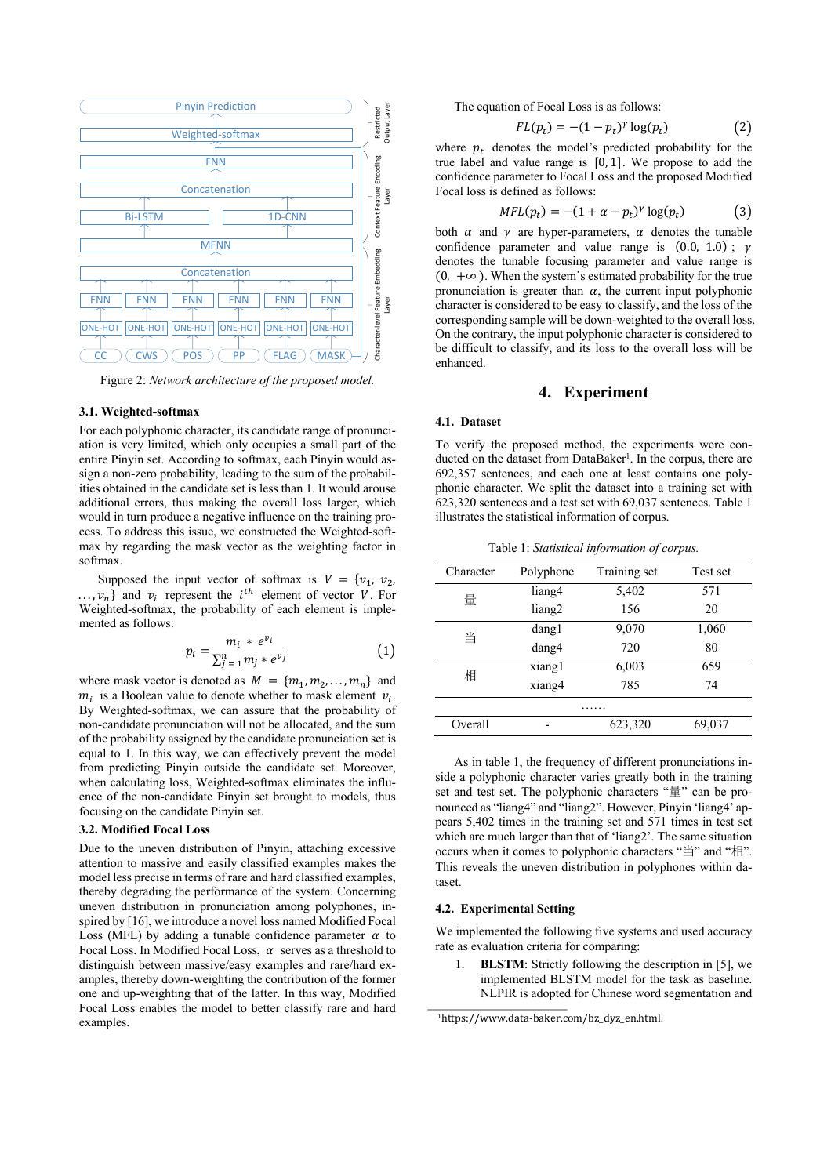

Figure 2: *Network architecture of the proposed model.*

#### **3.1. Weighted-softmax**

For each polyphonic character, its candidate range of pronunciation is very limited, which only occupies a small part of the entire Pinyin set. According to softmax, each Pinyin would assign a non-zero probability, leading to the sum of the probabilities obtained in the candidate set is less than 1. It would arouse additional errors, thus making the overall loss larger, which would in turn produce a negative influence on the training process. To address this issue, we constructed the Weighted-softmax by regarding the mask vector as the weighting factor in softmax.

Supposed the input vector of softmax is  $V = \{v_1, v_2,$  $..., v_n$ } and  $v_i$  represent the *i*<sup>th</sup> element of vector *V*. For Weighted-softmax, the probability of each element is implemented as follows:

$$
p_i = \frac{m_i * e^{v_i}}{\sum_{j=1}^n m_j * e^{v_j}} \tag{1}
$$

where mask vector is denoted as  $M = \{m_1, m_2, \ldots, m_n\}$  and  $m_i$  is a Boolean value to denote whether to mask element  $v_i$ . By Weighted-softmax, we can assure that the probability of non-candidate pronunciation will not be allocated, and the sum of the probability assigned by the candidate pronunciation set is equal to 1. In this way, we can effectively prevent the model from predicting Pinyin outside the candidate set. Moreover, when calculating loss, Weighted-softmax eliminates the influence of the non-candidate Pinyin set brought to models, thus focusing on the candidate Pinyin set.

## **3.2. Modified Focal Loss**

Due to the uneven distribution of Pinyin, attaching excessive attention to massive and easily classified examples makes the model less precise in terms of rare and hard classified examples, thereby degrading the performance of the system. Concerning uneven distribution in pronunciation among polyphones, inspired by [16], we introduce a novel loss named Modified Focal Loss (MFL) by adding a tunable confidence parameter  $\alpha$  to Focal Loss. In Modified Focal Loss,  $\alpha$  serves as a threshold to distinguish between massive/easy examples and rare/hard examples, thereby down-weighting the contribution of the former one and up-weighting that of the latter. In this way, Modified Focal Loss enables the model to better classify rare and hard examples.

The equation of Focal Loss is as follows:

$$
FL(p_t) = -(1 - p_t)^{\gamma} \log(p_t) \tag{2}
$$

where  $p_t$  denotes the model's predicted probability for the true label and value range is  $[0, 1]$ . We propose to add the confidence parameter to Focal Loss and the proposed Modified Focal loss is defined as follows:

$$
MFL(p_t) = -(1 + \alpha - p_t)^{\gamma} \log(p_t) \tag{3}
$$

both  $\alpha$  and  $\gamma$  are hyper-parameters,  $\alpha$  denotes the tunable confidence parameter and value range is  $(0.0, 1.0)$ ;  $\gamma$ denotes the tunable focusing parameter and value range is  $(0, +\infty)$ . When the system's estimated probability for the true pronunciation is greater than  $\alpha$ , the current input polyphonic character is considered to be easy to classify, and the loss of the corresponding sample will be down-weighted to the overall loss. On the contrary, the input polyphonic character is considered to be difficult to classify, and its loss to the overall loss will be enhanced.

## **4. Experiment**

#### **4.1. Dataset**

To verify the proposed method, the experiments were conducted on the dataset from DataBaker<sup>1</sup>. In the corpus, there are 692,357 sentences, and each one at least contains one polyphonic character. We split the dataset into a training set with 623,320 sentences and a test set with 69,037 sentences. Table 1 illustrates the statistical information of corpus.

Table 1: *Statistical information of corpus.*

| Character | Polyphone | Training set | Test set |  |
|-----------|-----------|--------------|----------|--|
| 量         | liang4    | 5,402        | 571      |  |
|           | liang2    | 156          | 20       |  |
| 当         | dang l    | 9,070        | 1,060    |  |
|           | dang4     | 720          | 80       |  |
| 相         | xiang1    | 6,003        | 659      |  |
|           | xiang4    | 785          | 74       |  |
| .         |           |              |          |  |
| Overall   |           | 623,320      | 69,037   |  |

As in table 1, the frequency of different pronunciations inside a polyphonic character varies greatly both in the training set and test set. The polyphonic characters "量" can be pronounced as "liang4" and "liang2". However, Pinyin 'liang4' appears 5,402 times in the training set and 571 times in test set which are much larger than that of 'liang2'. The same situation occurs when it comes to polyphonic characters "当" and "相". This reveals the uneven distribution in polyphones within dataset.

### **4.2. Experimental Setting**

We implemented the following five systems and used accuracy rate as evaluation criteria for comparing:

1. **BLSTM**: Strictly following the description in [5], we implemented BLSTM model for the task as baseline. NLPIR is adopted for Chinese word segmentation and

<sup>1</sup>https://www.data-baker.com/bz\_dyz\_en.html.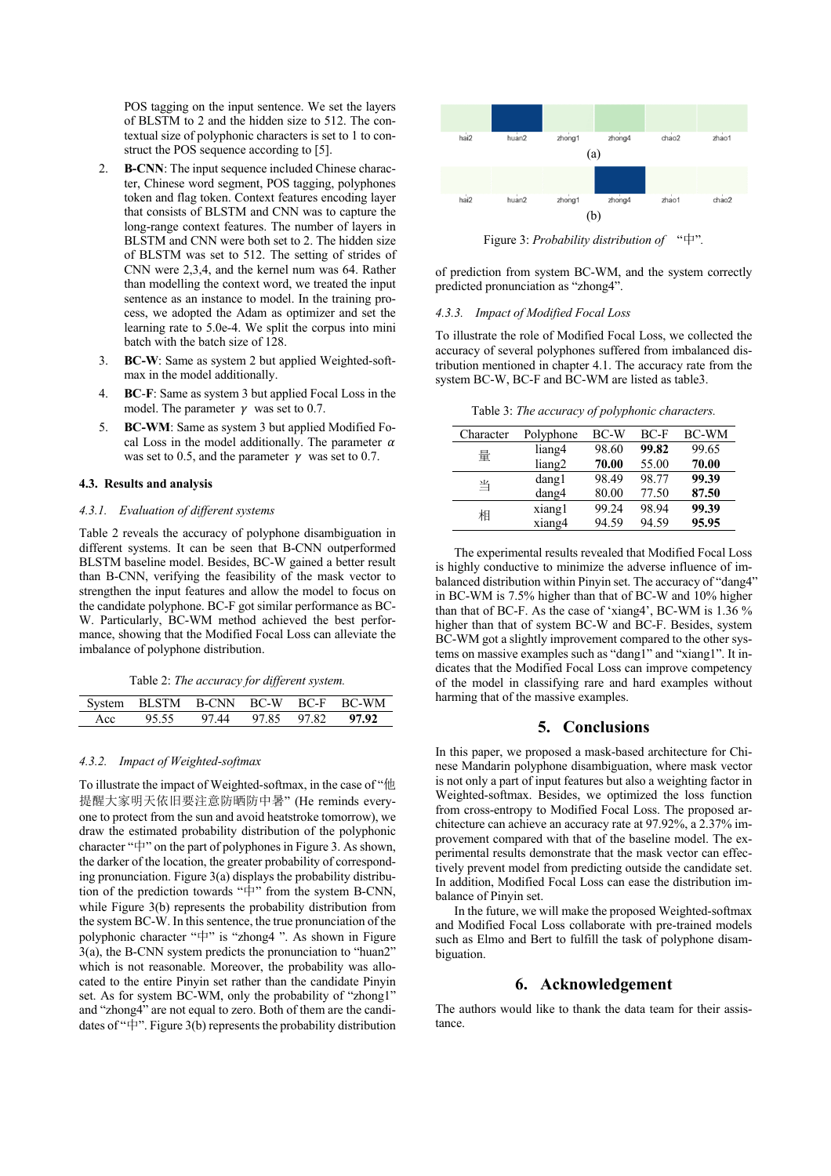POS tagging on the input sentence. We set the layers of BLSTM to 2 and the hidden size to 512. The contextual size of polyphonic characters is set to 1 to construct the POS sequence according to [5].

- **B-CNN**: The input sequence included Chinese character, Chinese word segment, POS tagging, polyphones token and flag token. Context features encoding layer that consists of BLSTM and CNN was to capture the long-range context features. The number of layers in BLSTM and CNN were both set to 2. The hidden size of BLSTM was set to 512. The setting of strides of CNN were 2,3,4, and the kernel num was 64. Rather than modelling the context word, we treated the input sentence as an instance to model. In the training process, we adopted the Adam as optimizer and set the learning rate to 5.0e-4. We split the corpus into mini batch with the batch size of 128.
- 3. **BC-W**: Same as system 2 but applied Weighted-softmax in the model additionally.
- 4. **BC**-**F**: Same as system 3 but applied Focal Loss in the model. The parameter  $\gamma$  was set to 0.7.
- 5. **BC-WM**: Same as system 3 but applied Modified Focal Loss in the model additionally. The parameter  $\alpha$ was set to 0.5, and the parameter  $\gamma$  was set to 0.7.

#### **4.3. Results and analysis**

#### *4.3.1. Evaluation of different systems*

Table 2 reveals the accuracy of polyphone disambiguation in different systems. It can be seen that B-CNN outperformed BLSTM baseline model. Besides, BC-W gained a better result than B-CNN, verifying the feasibility of the mask vector to strengthen the input features and allow the model to focus on the candidate polyphone. BC-F got similar performance as BC-W. Particularly, BC-WM method achieved the best performance, showing that the Modified Focal Loss can alleviate the imbalance of polyphone distribution.

|  | Table 2: The accuracy for different system. |  |  |
|--|---------------------------------------------|--|--|
|  |                                             |  |  |

|     |       |                         |  | System BLSTM B-CNN BC-W BC-F BC-WM |
|-----|-------|-------------------------|--|------------------------------------|
| Acc | 95.55 | 97.44 97.85 97.82 97.92 |  |                                    |

#### *4.3.2. Impact of Weighted-softmax*

To illustrate the impact of Weighted-softmax, in the case of "他 提醒大家明天依旧要注意防晒防中暑" (He reminds everyone to protect from the sun and avoid heatstroke tomorrow), we draw the estimated probability distribution of the polyphonic character "中" on the part of polyphones in Figure 3. As shown, the darker of the location, the greater probability of corresponding pronunciation. Figure 3(a) displays the probability distribution of the prediction towards "中" from the system B-CNN, while Figure 3(b) represents the probability distribution from the system BC-W. In this sentence, the true pronunciation of the polyphonic character "中" is "zhong4 ". As shown in Figure 3(a), the B-CNN system predicts the pronunciation to "huan2" which is not reasonable. Moreover, the probability was allocated to the entire Pinyin set rather than the candidate Pinyin set. As for system BC-WM, only the probability of "zhong1" and "zhong4" are not equal to zero. Both of them are the candidates of " $\overline{\mathbf{r}}$ ". Figure 3(b) represents the probability distribution



Figure 3: *Probability distribution of* "中"*.*

of prediction from system BC-WM, and the system correctly predicted pronunciation as "zhong4".

#### *4.3.3. Impact of Modified Focal Loss*

To illustrate the role of Modified Focal Loss, we collected the accuracy of several polyphones suffered from imbalanced distribution mentioned in chapter 4.1. The accuracy rate from the system BC-W, BC-F and BC-WM are listed as table3.

Table 3: *The accuracy of polyphonic characters.*

| Character | Polyphone | BC-W  | $BC-F$ | BC-WM |
|-----------|-----------|-------|--------|-------|
| 量         | liang4    | 98.60 | 99.82  | 99.65 |
|           | liang2    | 70.00 | 55.00  | 70.00 |
| 当         | dang1     | 98.49 | 98.77  | 99.39 |
|           | dang4     | 80.00 | 77.50  | 87.50 |
| 相         | xiang1    | 99.24 | 98.94  | 99.39 |
|           | xiang4    | 94.59 | 94.59  | 95.95 |

The experimental results revealed that Modified Focal Loss is highly conductive to minimize the adverse influence of imbalanced distribution within Pinyin set. The accuracy of "dang4" in BC-WM is 7.5% higher than that of BC-W and 10% higher than that of BC-F. As the case of 'xiang4', BC-WM is 1.36 % higher than that of system BC-W and BC-F. Besides, system BC-WM got a slightly improvement compared to the other systems on massive examples such as "dang1" and "xiang1". It indicates that the Modified Focal Loss can improve competency of the model in classifying rare and hard examples without harming that of the massive examples.

## **5. Conclusions**

In this paper, we proposed a mask-based architecture for Chinese Mandarin polyphone disambiguation, where mask vector is not only a part of input features but also a weighting factor in Weighted-softmax. Besides, we optimized the loss function from cross-entropy to Modified Focal Loss. The proposed architecture can achieve an accuracy rate at 97.92%, a 2.37% improvement compared with that of the baseline model. The experimental results demonstrate that the mask vector can effectively prevent model from predicting outside the candidate set. In addition, Modified Focal Loss can ease the distribution imbalance of Pinyin set.

In the future, we will make the proposed Weighted-softmax and Modified Focal Loss collaborate with pre-trained models such as Elmo and Bert to fulfill the task of polyphone disambiguation.

# **6. Acknowledgement**

The authors would like to thank the data team for their assistance.